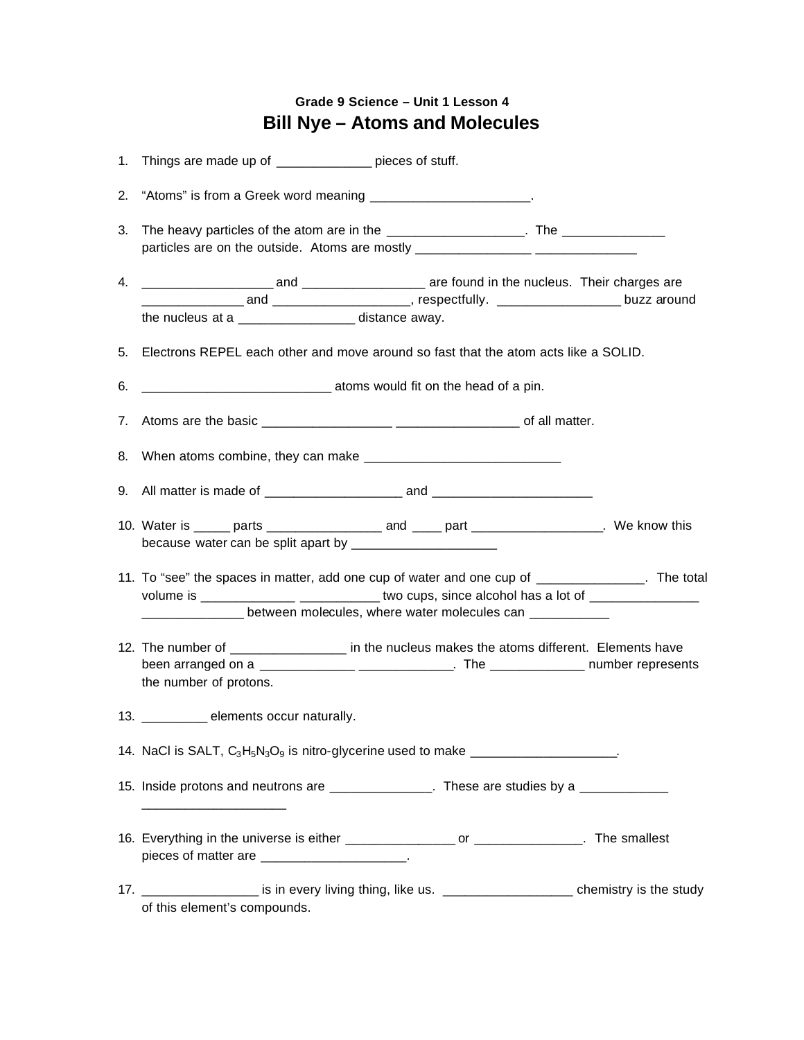## **Grade 9 Science – Unit 1 Lesson 4 Bill Nye – Atoms and Molecules**

|    | 1. Things are made up of _____________ pieces of stuff.                                                                                                                                                                                                                             |  |  |
|----|-------------------------------------------------------------------------------------------------------------------------------------------------------------------------------------------------------------------------------------------------------------------------------------|--|--|
|    | 2. "Atoms" is from a Greek word meaning _________________________.                                                                                                                                                                                                                  |  |  |
| 3. | The heavy particles of the atom are in the _____________________. The ________________<br>particles are on the outside. Atoms are mostly _________________________________                                                                                                          |  |  |
|    | the nucleus at a ____________________ distance away.                                                                                                                                                                                                                                |  |  |
|    | 5. Electrons REPEL each other and move around so fast that the atom acts like a SOLID.                                                                                                                                                                                              |  |  |
| 6. |                                                                                                                                                                                                                                                                                     |  |  |
|    |                                                                                                                                                                                                                                                                                     |  |  |
|    | 8. When atoms combine, they can make <u>entitled and contained</u> and the When atoms combine, they can make                                                                                                                                                                        |  |  |
|    |                                                                                                                                                                                                                                                                                     |  |  |
|    | 10. Water is _____ parts _____________________ and _____ part ___________________. We know this                                                                                                                                                                                     |  |  |
|    | 11. To "see" the spaces in matter, add one cup of water and one cup of _______________. The total<br>volume is _________________ ______________two cups, since alcohol has a lot of ___________________<br>_______________between molecules, where water molecules can ____________ |  |  |
|    | 12. The number of __________________ in the nucleus makes the atoms different. Elements have<br>been arranged on a ________________________________. The ________________ number represents<br>the number of protons.                                                               |  |  |
|    | 13. _________ elements occur naturally.                                                                                                                                                                                                                                             |  |  |
|    | 14. NaCl is SALT, C <sub>3</sub> H <sub>5</sub> N <sub>3</sub> O <sub>9</sub> is nitro-glycerine used to make _____________________                                                                                                                                                 |  |  |
|    | 15. Inside protons and neutrons are _______________. These are studies by a ___________<br><u> 1980 - Johann Barbara, martxa al III-lea (h. 1976).</u>                                                                                                                              |  |  |
|    | 16. Everything in the universe is either _________________ or _______________. The smallest<br>pieces of matter are _______________________.                                                                                                                                        |  |  |
|    | 17. ___________________ is in every living thing, like us. ______________________ chemistry is the study<br>of this element's compounds.                                                                                                                                            |  |  |